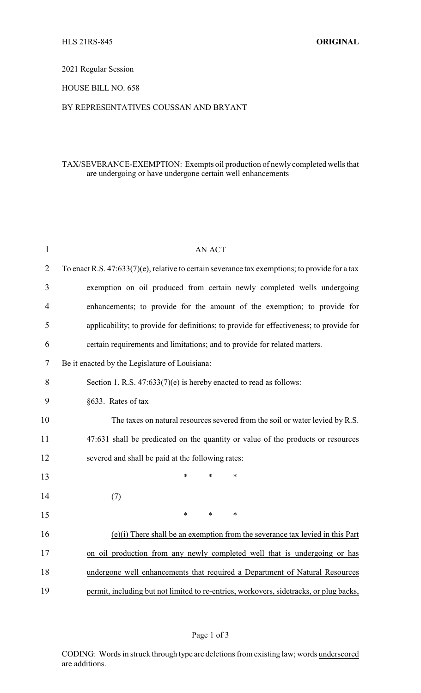### 2021 Regular Session

## HOUSE BILL NO. 658

## BY REPRESENTATIVES COUSSAN AND BRYANT

# TAX/SEVERANCE-EXEMPTION: Exempts oil production of newly completed wells that are undergoing or have undergone certain well enhancements

| $\mathbf{1}$ | <b>AN ACT</b>                                                                                  |  |  |  |
|--------------|------------------------------------------------------------------------------------------------|--|--|--|
| 2            | To enact R.S. 47:633(7)(e), relative to certain severance tax exemptions; to provide for a tax |  |  |  |
| 3            | exemption on oil produced from certain newly completed wells undergoing                        |  |  |  |
| 4            | enhancements; to provide for the amount of the exemption; to provide for                       |  |  |  |
| 5            | applicability; to provide for definitions; to provide for effectiveness; to provide for        |  |  |  |
| 6            | certain requirements and limitations; and to provide for related matters.                      |  |  |  |
| 7            | Be it enacted by the Legislature of Louisiana:                                                 |  |  |  |
| 8            | Section 1. R.S. $47:633(7)(e)$ is hereby enacted to read as follows:                           |  |  |  |
| 9            | §633. Rates of tax                                                                             |  |  |  |
| 10           | The taxes on natural resources severed from the soil or water levied by R.S.                   |  |  |  |
| 11           | 47:631 shall be predicated on the quantity or value of the products or resources               |  |  |  |
| 12           | severed and shall be paid at the following rates:                                              |  |  |  |
| 13           | $\ast$<br>*<br>$\ast$                                                                          |  |  |  |
| 14           | (7)                                                                                            |  |  |  |
| 15           | $\ast$<br>$\ast$<br>*                                                                          |  |  |  |
| 16           | $(e)(i)$ There shall be an exemption from the severance tax levied in this Part                |  |  |  |
| 17           | on oil production from any newly completed well that is undergoing or has                      |  |  |  |
| 18           | undergone well enhancements that required a Department of Natural Resources                    |  |  |  |
| 19           | permit, including but not limited to re-entries, workovers, sidetracks, or plug backs,         |  |  |  |

## Page 1 of 3

CODING: Words in struck through type are deletions from existing law; words underscored are additions.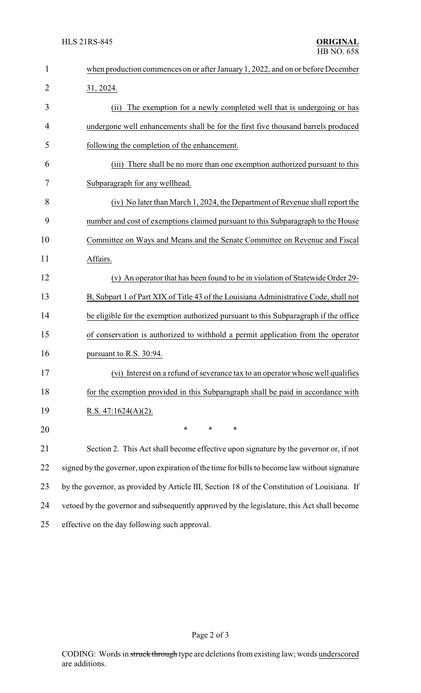| $\mathbf{1}$ | when production commences on or after January 1, 2022, and on or before December              |  |  |
|--------------|-----------------------------------------------------------------------------------------------|--|--|
| 2            | 31, 2024.                                                                                     |  |  |
| 3            | The exemption for a newly completed well that is undergoing or has<br>(ii)                    |  |  |
| 4            | undergone well enhancements shall be for the first five thousand barrels produced             |  |  |
| 5            | following the completion of the enhancement.                                                  |  |  |
| 6            | There shall be no more than one exemption authorized pursuant to this<br>(iii)                |  |  |
| 7            | Subparagraph for any wellhead.                                                                |  |  |
| 8            | (iv) No later than March 1, 2024, the Department of Revenue shall report the                  |  |  |
| 9            | number and cost of exemptions claimed pursuant to this Subparagraph to the House              |  |  |
| 10           | Committee on Ways and Means and the Senate Committee on Revenue and Fiscal                    |  |  |
| 11           | Affairs.                                                                                      |  |  |
| 12           | (v) An operator that has been found to be in violation of Statewide Order 29-                 |  |  |
| 13           | B, Subpart 1 of Part XIX of Title 43 of the Louisiana Administrative Code, shall not          |  |  |
| 14           | be eligible for the exemption authorized pursuant to this Subparagraph if the office          |  |  |
| 15           | of conservation is authorized to withhold a permit application from the operator              |  |  |
| 16           | pursuant to R.S. 30:94.                                                                       |  |  |
| 17           | (vi) Interest on a refund of severance tax to an operator whose well qualifies                |  |  |
| 18           | for the exemption provided in this Subparagraph shall be paid in accordance with              |  |  |
| 19           | R.S. $47:1624(A)(2)$ .                                                                        |  |  |
| 20           | $\ast$<br>$\ast$<br>*                                                                         |  |  |
| 21           | Section 2. This Act shall become effective upon signature by the governor or, if not          |  |  |
| 22           | signed by the governor, upon expiration of the time for bills to become law without signature |  |  |
| 23           | by the governor, as provided by Article III, Section 18 of the Constitution of Louisiana. If  |  |  |
| 24           | vetoed by the governor and subsequently approved by the legislature, this Act shall become    |  |  |
| 25           | effective on the day following such approval.                                                 |  |  |